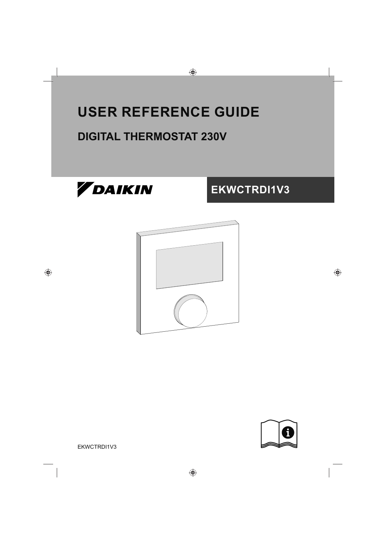# **USER REFERENCE GUIDE**

# **DIGITAL THERMOSTAT 230V**







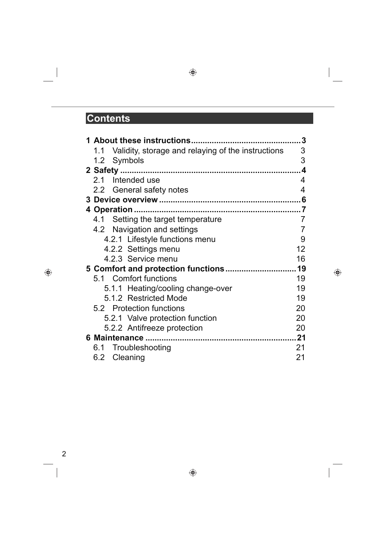### **Contents**

| 1 About these instructions                             | 3   |
|--------------------------------------------------------|-----|
| 1.1 Validity, storage and relaying of the instructions | 3   |
| 1.2 Symbols                                            | 3   |
|                                                        | 4   |
| 2.1 Intended use                                       | 4   |
| 2.2 General safety notes                               | 4   |
|                                                        | . 6 |
|                                                        |     |
| 4.1 Setting the target temperature                     | 7   |
| 4.2 Navigation and settings                            | 7   |
| 4.2.1 Lifestyle functions menu                         | 9   |
| 4.2.2 Settings menu                                    | 12  |
| 4.2.3 Service menu                                     | 16  |
|                                                        | 19  |
| 5.1 Comfort functions                                  | 19  |
| 5.1.1 Heating/cooling change-over                      | 19  |
| 5.1.2 Restricted Mode                                  | 19  |
| 5.2 Protection functions                               | 20  |
| 5.2.1 Valve protection function                        | 20  |
| 5.2.2 Antifreeze protection                            | 20  |
|                                                        | 21  |
| 6.1 Troubleshooting                                    | 21  |
| 6.2 Cleaning                                           | 21  |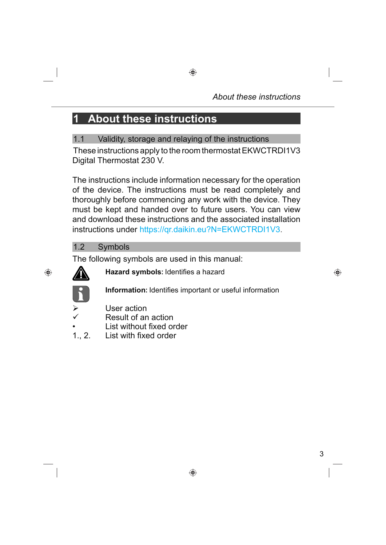# **1 About these instructions**

1.1 Validity, storage and relaying of the instructions These instructions apply to the room thermostat EKWCTRDI1V3 Digital Thermostat 230 V.

The instructions include information necessary for the operation of the device. The instructions must be read completely and thoroughly before commencing any work with the device. They must be kept and handed over to future users. You can view and download these instructions and the associated installation instructions under https://gr.daikin.eu?N=EKWCTRDI1V3.

#### 1.2 Symbols

The following symbols are used in this manual:



**Hazard symbols:** Identifies a hazard

**Information:** Identifies important or useful information

- User action
- Result of an action
- List without fixed order<br>1., 2. List with fixed order
- **List with fixed order**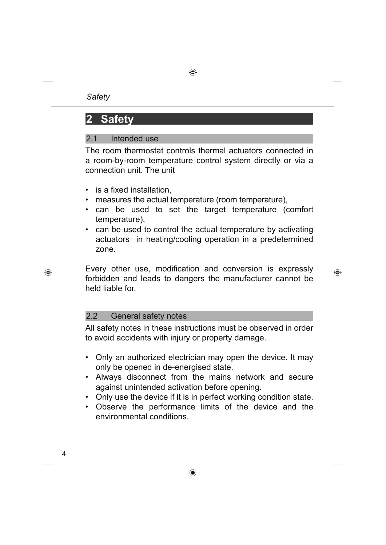# **2 Safety**

#### 2.1 Intended use

The room thermostat controls thermal actuators connected in a room-by-room temperature control system directly or via a connection unit. The unit

- $\cdot$  is a fixed installation,
- measures the actual temperature (room temperature),
- can be used to set the target temperature (comfort temperature),
- can be used to control the actual temperature by activating actuators in heating/cooling operation in a predetermined zone.

Every other use, modification and conversion is expressly forbidden and leads to dangers the manufacturer cannot be held liable for.

#### 2.2 General safety notes

All safety notes in these instructions must be observed in order to avoid accidents with injury or property damage.

- Only an authorized electrician may open the device. It may only be opened in de-energised state.
- Always disconnect from the mains network and secure against unintended activation before opening.
- Only use the device if it is in perfect working condition state.
- Observe the performance limits of the device and the environmental conditions.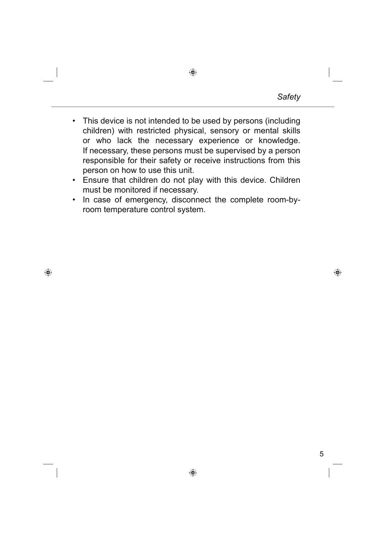- This device is not intended to be used by persons (including children) with restricted physical, sensory or mental skills or who lack the necessary experience or knowledge. If necessary, these persons must be supervised by a person responsible for their safety or receive instructions from this person on how to use this unit.
- Ensure that children do not play with this device. Children must be monitored if necessary.
- In case of emergency, disconnect the complete room-byroom temperature control system.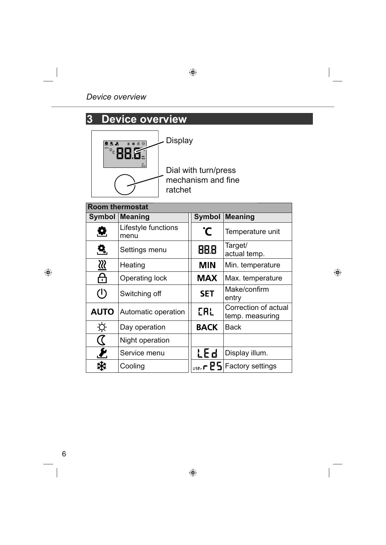# **3 Device overview**



Display

Dial with turn/press mechanism and fine ratchet

| <b>Room thermostat</b>    |                             |               |                                         |
|---------------------------|-----------------------------|---------------|-----------------------------------------|
| Symbol                    | <b>Meaning</b>              | <b>Symbol</b> | <b>Meaning</b>                          |
| Q                         | Lifestyle functions<br>menu | °C            | Temperature unit                        |
| <u>Q.</u>                 | Settings menu               | 88.B          | Target/<br>actual temp.                 |
| $\overline{\mathfrak{W}}$ | Heating                     | <b>MIN</b>    | Min. temperature                        |
| <u>ි</u>                  | <b>Operating lock</b>       | <b>MAX</b>    | Max. temperature                        |
| $\mathcal{L}$             | Switching off               | <b>SET</b>    | Make/confirm<br>entry                   |
| <b>AUTO</b>               | Automatic operation         | EAL           | Correction of actual<br>temp. measuring |
| Ķ.                        | Day operation               | <b>BACK</b>   | <b>Back</b>                             |
| $\bm{\mathcal{C}}$        | Night operation             |               |                                         |
| $\boldsymbol{\ell}$       | Service menu                | LEd           | Display illum.                          |
|                           | Cooling                     |               | $_{\text{user}}$ PS Factory settings    |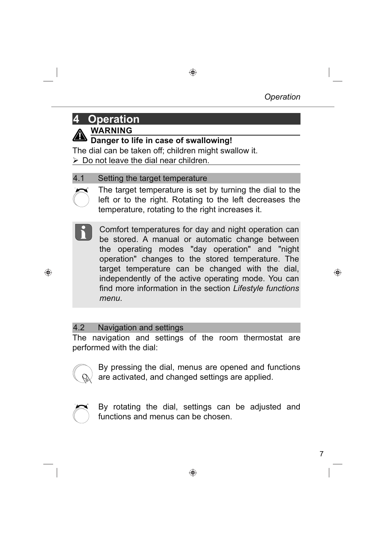### **4 Operation**



**WARNING**

**Danger to life in case of swallowing!**

The dial can be taken off: children might swallow it.

 $\triangleright$  Do not leave the dial near children.

#### 4.1 Setting the target temperature



The target temperature is set by turning the dial to the left or to the right. Rotating to the left decreases the temperature, rotating to the right increases it.

Comfort temperatures for day and night operation can be stored. A manual or automatic change between the operating modes "day operation" and "night operation" changes to the stored temperature. The target temperature can be changed with the dial, independently of the active operating mode. You can find more information in the section *Lifestyle functions menu*.

#### 4.2 Navigation and settings

The navigation and settings of the room thermostat are performed with the dial:



By pressing the dial, menus are opened and functions are activated, and changed settings are applied.



By rotating the dial, settings can be adjusted and functions and menus can be chosen.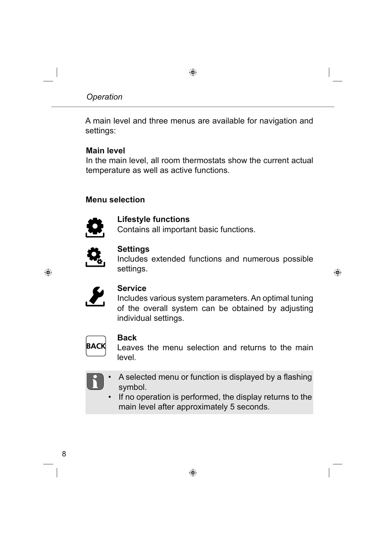A main level and three menus are available for navigation and settings:

#### **Main level**

In the main level, all room thermostats show the current actual temperature as well as active functions.

#### **Menu selection**



**Lifestyle functions**

Contains all important basic functions.



#### **Settings**

Includes extended functions and numerous possible settings.



#### **Service**

Includes various system parameters. An optimal tuning of the overall system can be obtained by adjusting individual settings.



#### **Back**

Leaves the menu selection and returns to the main level*.*



- A selected menu or function is displayed by a flashing symbol.
	- If no operation is performed, the display returns to the main level after approximately 5 seconds.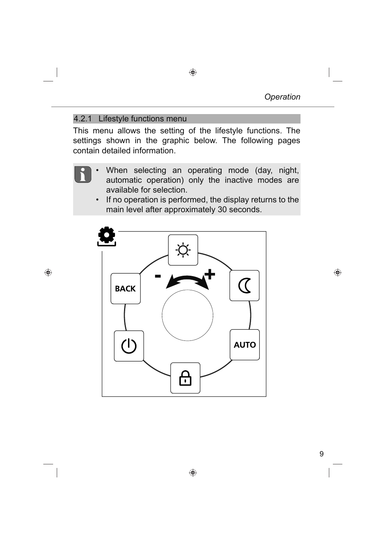#### 4.2.1 Lifestyle functions menu

This menu allows the setting of the lifestyle functions. The settings shown in the graphic below. The following pages contain detailed information.

- When selecting an operating mode (day, night, automatic operation) only the inactive modes are available for selection.
	- If no operation is performed, the display returns to the main level after approximately 30 seconds.

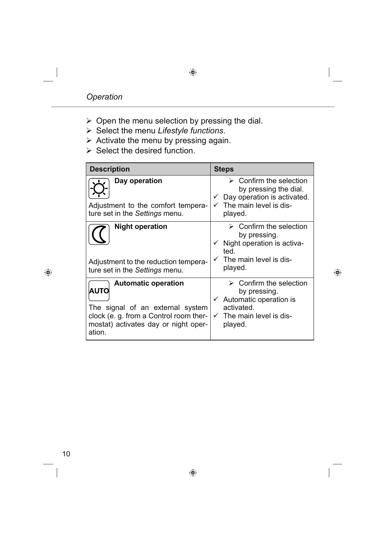- $\triangleright$  Open the menu selection by pressing the dial.
- Select the menu *Lifestyle functions*.
- $\triangleright$  Activate the menu by pressing again.
- $\triangleright$  Select the desired function.

| <b>Description</b>                                                                                                                                                        | <b>Steps</b>                                                                                                                                             |
|---------------------------------------------------------------------------------------------------------------------------------------------------------------------------|----------------------------------------------------------------------------------------------------------------------------------------------------------|
| Day operation<br>Adjustment to the comfort tempera-<br>ture set in the Settings menu.                                                                                     | Confirm the selection<br>➤<br>by pressing the dial.<br>Day operation is activated.<br>The main level is dis-<br>played.                                  |
| <b>Night operation</b><br>Adjustment to the reduction tempera-<br>ture set in the Settings menu.                                                                          | $\triangleright$ Confirm the selection<br>by pressing.<br>Night operation is activa-<br>ted.<br>The main level is dis-<br>played.                        |
| <b>Automatic operation</b><br><b>AUTO</b><br>The signal of an external system<br>clock (e. g. from a Control room ther-<br>mostat) activates day or night oper-<br>ation. | $\triangleright$ Confirm the selection<br>by pressing.<br>Automatic operation is<br>$\checkmark$<br>activated.<br>The main level is dis-<br>✓<br>played. |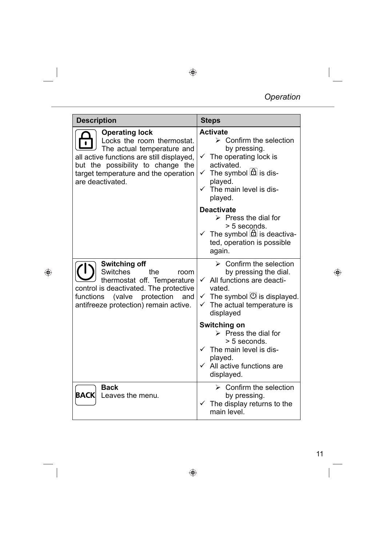### *Operation*

| <b>Description</b>                                                                                                                                                                                                              | <b>Steps</b>                                                                                                                                                                                                                                 |  |
|---------------------------------------------------------------------------------------------------------------------------------------------------------------------------------------------------------------------------------|----------------------------------------------------------------------------------------------------------------------------------------------------------------------------------------------------------------------------------------------|--|
| <b>Operating lock</b><br>Locks the room thermostat.<br>The actual temperature and<br>all active functions are still displayed,<br>but the possibility to change the<br>target temperature and the operation<br>are deactivated. | <b>Activate</b><br>$\triangleright$ Confirm the selection<br>by pressing.<br>The operating lock is<br>✓<br>activated.<br>The symbol $\boxed{\triangle}$ is dis-<br>$\checkmark$<br>played.<br>$\checkmark$ The main level is dis-<br>played. |  |
|                                                                                                                                                                                                                                 | <b>Deactivate</b><br>$\triangleright$ Press the dial for<br>> 5 seconds.<br>$\checkmark$ The symbol $\textcircled{b}$ is deactiva-<br>ted, operation is possible<br>again.                                                                   |  |
| <b>Switching off</b><br><b>Switches</b><br>the<br>room<br>thermostat off. Temperature<br>control is deactivated. The protective<br>functions (valve protection<br>and<br>antifreeze protection) remain active.                  | $\triangleright$ Confirm the selection<br>by pressing the dial.<br>All functions are deacti-<br>$\checkmark$<br>vated.<br>$\checkmark$ The symbol $\mathcal O$ is displayed.<br>$\checkmark$ The actual temperature is<br>displayed          |  |
|                                                                                                                                                                                                                                 | <b>Switching on</b><br>$\triangleright$ Press the dial for<br>> 5 seconds.<br>The main level is dis-<br>played.<br>All active functions are<br>displayed.                                                                                    |  |
| <b>Back</b><br>$\mathsf{BACK}\vert$<br>Leaves the menu.                                                                                                                                                                         | $\triangleright$ Confirm the selection<br>by pressing.<br>The display returns to the<br>✓<br>main level.                                                                                                                                     |  |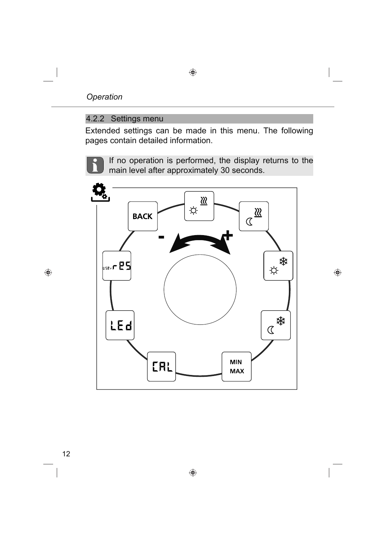#### 4.2.2 Settings menu

Extended settings can be made in this menu. The following pages contain detailed information.

If no operation is performed, the display returns to the main level after approximately 30 seconds.

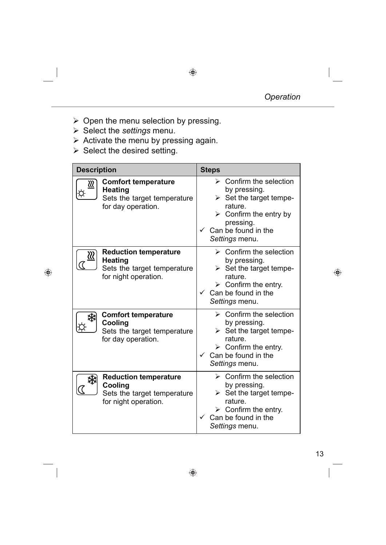- $\triangleright$  Open the menu selection by pressing.
- Select the *settings* menu.
- $\triangleright$  Activate the menu by pressing again.
- $\triangleright$  Select the desired setting.

| <b>Description</b> |                                                                                                       | <b>Steps</b>                                                                                                                                                                                               |
|--------------------|-------------------------------------------------------------------------------------------------------|------------------------------------------------------------------------------------------------------------------------------------------------------------------------------------------------------------|
| <u>રાટ</u>         | <b>Comfort temperature</b><br><b>Heating</b><br>Sets the target temperature<br>for day operation.     | $\triangleright$ Confirm the selection<br>by pressing.<br>$\triangleright$ Set the target tempe-<br>rature.<br>$\triangleright$ Confirm the entry by<br>pressing.<br>Can be found in the<br>Settings menu. |
|                    | <b>Reduction temperature</b><br><b>Heating</b><br>Sets the target temperature<br>for night operation. | $\triangleright$ Confirm the selection<br>by pressing.<br>Set the target tempe-<br>⋗<br>rature.<br>$\triangleright$ Confirm the entry.<br>Can be found in the<br>Settings menu.                            |
|                    | <b>Comfort temperature</b><br>Cooling<br>Sets the target temperature<br>for day operation.            | $\triangleright$ Confirm the selection<br>by pressing.<br>$\triangleright$ Set the target tempe-<br>rature.<br>$\triangleright$ Confirm the entry.<br>Can be found in the<br>Settings menu.                |
|                    | <b>Reduction temperature</b><br>Cooling<br>Sets the target temperature<br>for night operation.        | $\triangleright$ Confirm the selection<br>by pressing.<br>Set the target tempe-<br>rature.<br>$\triangleright$ Confirm the entry.<br>Can be found in the<br>Settings menu.                                 |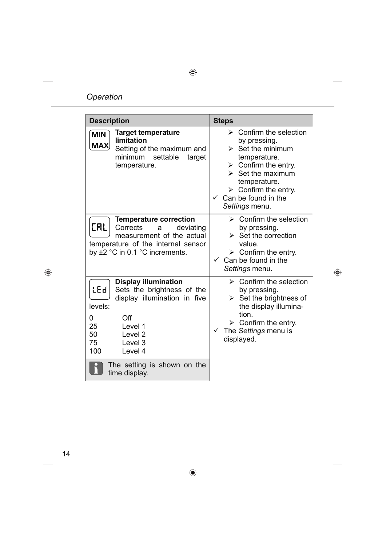| <b>Description</b>                                                                                                                                                                                                        | <b>Steps</b>                                                                                                                                                                                                                                                                          |
|---------------------------------------------------------------------------------------------------------------------------------------------------------------------------------------------------------------------------|---------------------------------------------------------------------------------------------------------------------------------------------------------------------------------------------------------------------------------------------------------------------------------------|
| <b>Target temperature</b><br><b>MIN</b><br><b>limitation</b><br>MAX<br>Setting of the maximum and<br>settable<br>minimum<br>target<br>temperature.                                                                        | $\triangleright$ Confirm the selection<br>by pressing.<br>$\triangleright$ Set the minimum<br>temperature.<br>$\triangleright$ Confirm the entry.<br>$\triangleright$ Set the maximum<br>temperature.<br>$\triangleright$ Confirm the entry.<br>Can be found in the<br>Settings menu. |
| <b>Temperature correction</b><br><b>CAL</b><br>Corrects<br>deviating<br>a<br>measurement of the actual<br>temperature of the internal sensor<br>by $\pm 2$ °C in 0.1 °C increments.                                       | $\triangleright$ Confirm the selection<br>by pressing.<br>$\triangleright$ Set the correction<br>value.<br>$\triangleright$ Confirm the entry.<br>Can be found in the<br>$\checkmark$<br>Settings menu.                                                                               |
| <b>Display illumination</b><br><b>LEd</b><br>Sets the brightness of the<br>display illumination in five<br>levels:<br>Off<br>0<br>25<br>Level 1<br>50<br>Level <sub>2</sub><br>75<br>Level <sub>3</sub><br>100<br>Level 4 | $\triangleright$ Confirm the selection<br>by pressing.<br>$\triangleright$ Set the brightness of<br>the display illumina-<br>tion.<br>$\triangleright$ Confirm the entry.<br>The Settings menu is<br>$\checkmark$<br>displayed.                                                       |
| The setting is shown on the<br>time display.                                                                                                                                                                              |                                                                                                                                                                                                                                                                                       |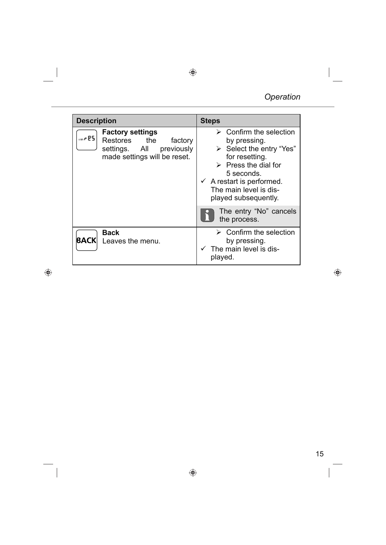| <b>Description</b>                                                                                                           | <b>Steps</b>                                                                                                                                                                                                                                                                                 |
|------------------------------------------------------------------------------------------------------------------------------|----------------------------------------------------------------------------------------------------------------------------------------------------------------------------------------------------------------------------------------------------------------------------------------------|
| <b>Factory settings</b><br>$use - 25$<br>Restores the<br>factory<br>settings. All previously<br>made settings will be reset. | $\triangleright$ Confirm the selection<br>by pressing.<br>$\triangleright$ Select the entry "Yes"<br>for resetting.<br>$\triangleright$ Press the dial for<br>5 seconds.<br>$\checkmark$ A restart is performed.<br>The main level is dis-<br>played subsequently.<br>The entry "No" cancels |
|                                                                                                                              | the process.                                                                                                                                                                                                                                                                                 |
| <b>Back</b><br><b>BACK</b><br>Leaves the menu.                                                                               | Confirm the selection<br>by pressing.<br>The main level is dis-<br>played.                                                                                                                                                                                                                   |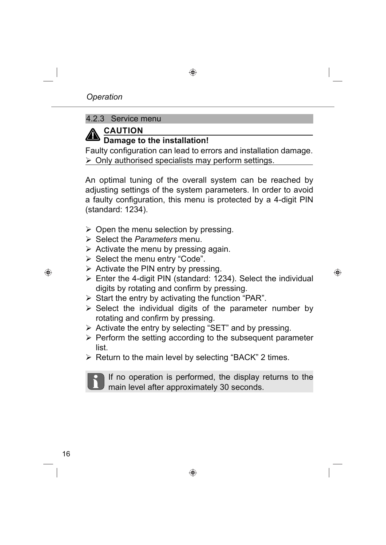#### 4.2.3 Service menu



#### **CAUTION Damage to the installation!**

Faulty configuration can lead to errors and installation damage.  $\triangleright$  Only authorised specialists may perform settings.

An optimal tuning of the overall system can be reached by adjusting settings of the system parameters. In order to avoid a faulty configuration, this menu is protected by a 4-digit PIN (standard: 1234).

- $\triangleright$  Open the menu selection by pressing.
- Select the *Parameters* menu.
- $\triangleright$  Activate the menu by pressing again.
- Select the menu entry "Code".
- $\triangleright$  Activate the PIN entry by pressing.
- $\triangleright$  Enter the 4-digit PIN (standard: 1234). Select the individual digits by rotating and confirm by pressing.
- $\triangleright$  Start the entry by activating the function "PAR".
- $\triangleright$  Select the individual digits of the parameter number by rotating and confirm by pressing.
- $\triangleright$  Activate the entry by selecting "SET" and by pressing.
- $\triangleright$  Perform the setting according to the subsequent parameter list.
- $\triangleright$  Return to the main level by selecting "BACK" 2 times.

If no operation is performed, the display returns to the main level after approximately 30 seconds.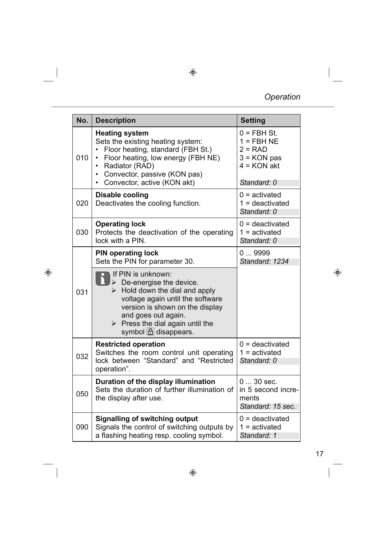| No. | <b>Description</b>                                                                                                                                                                                                                                                                                                                   | <b>Setting</b>                                                                              |
|-----|--------------------------------------------------------------------------------------------------------------------------------------------------------------------------------------------------------------------------------------------------------------------------------------------------------------------------------------|---------------------------------------------------------------------------------------------|
| 010 | <b>Heating system</b><br>Sets the existing heating system:<br>Floor heating, standard (FBH St.)<br>Floor heating, low energy (FBH NE)<br>Radiator (RAD)<br>$\bullet$<br>Convector, passive (KON pas)<br>$\bullet$<br>Convector, active (KON akt)<br>$\bullet$                                                                        | $0 = FBH St.$<br>$1 = FBH NE$<br>$2 = RAD$<br>$3 = KON$ pas<br>$4 = KON$ akt<br>Standard: 0 |
| 020 | <b>Disable cooling</b><br>Deactivates the cooling function.                                                                                                                                                                                                                                                                          | $0 =$ activated<br>$1 =$ deactivated<br>Standard: 0                                         |
| 030 | <b>Operating lock</b><br>Protects the deactivation of the operating<br>lock with a PIN.                                                                                                                                                                                                                                              | $0 =$ deactivated<br>$1 =$ activated<br>Standard: 0                                         |
|     | <b>PIN operating lock</b><br>Sets the PIN for parameter 30.                                                                                                                                                                                                                                                                          | 09999<br>Standard: 1234                                                                     |
| 031 | If PIN is unknown:<br>$\triangleright$ De-energise the device.<br>$\triangleright$ Hold down the dial and apply<br>voltage again until the software<br>version is shown on the display<br>and goes out again.<br>$\triangleright$ Press the dial again until the<br>symbol $\left[\begin{array}{c} 1 \end{array}\right]$ disappears. |                                                                                             |
| 032 | <b>Restricted operation</b><br>Switches the room control unit operating<br>lock between "Standard" and "Restricted<br>operation".                                                                                                                                                                                                    | $0 =$ deactivated<br>$1 =$ activated<br>Standard: 0                                         |
| 050 | Duration of the display illumination<br>Sets the duration of further illumination of<br>the display after use.                                                                                                                                                                                                                       | $030$ sec.<br>in 5 second incre-<br>ments<br>Standard: 15 sec.                              |
| 090 | <b>Signalling of switching output</b><br>Signals the control of switching outputs by<br>a flashing heating resp. cooling symbol.                                                                                                                                                                                                     | $0 =$ deactivated<br>$1 =$ activated<br>Standard: 1                                         |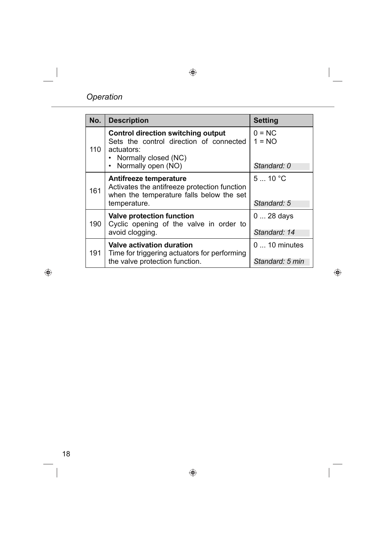#### *Operation*

| No. | <b>Description</b>                                                                                                                                 | <b>Setting</b>                          |
|-----|----------------------------------------------------------------------------------------------------------------------------------------------------|-----------------------------------------|
| 110 | <b>Control direction switching output</b><br>Sets the control direction of connected<br>actuators:<br>• Normally closed (NC)<br>Normally open (NO) | $0 = NC$<br>$1 = NO$<br>Standard: 0     |
| 161 | Antifreeze temperature<br>Activates the antifreeze protection function<br>when the temperature falls below the set<br>temperature.                 | 510 °C<br>Standard: 5                   |
| 190 | <b>Valve protection function</b><br>Cyclic opening of the valve in order to<br>avoid clogging.                                                     | $028$ days<br>Standard: 14              |
| 191 | <b>Valve activation duration</b><br>Time for triggering actuators for performing<br>the valve protection function.                                 | $0 \dots 10$ minutes<br>Standard: 5 min |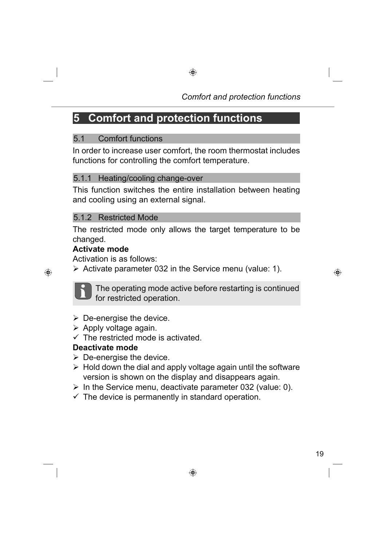## **5 Comfort and protection functions**

#### 5.1 Comfort functions

In order to increase user comfort, the room thermostat includes functions for controlling the comfort temperature.

#### 5.1.1 Heating/cooling change-over

This function switches the entire installation between heating and cooling using an external signal.

#### 5.1.2 Restricted Mode

The restricted mode only allows the target temperature to be changed.

#### **Activate mode**

Activation is as follows:

 $\triangleright$  Activate parameter 032 in the Service menu (value: 1).



The operating mode active before restarting is continued for restricted operation.

- $\triangleright$  De-energise the device.
- $\triangleright$  Apply voltage again.
- $\sqrt{ }$  The restricted mode is activated.

#### **Deactivate mode**

- $\triangleright$  De-energise the device.
- $\triangleright$  Hold down the dial and apply voltage again until the software version is shown on the display and disappears again.
- $\triangleright$  In the Service menu, deactivate parameter 032 (value: 0).
- $\checkmark$  The device is permanently in standard operation.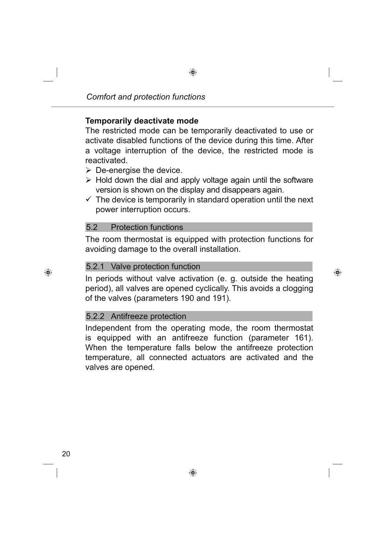#### **Temporarily deactivate mode**

The restricted mode can be temporarily deactivated to use or activate disabled functions of the device during this time. After a voltage interruption of the device, the restricted mode is reactivated.

- $\triangleright$  De-energise the device.
- $\triangleright$  Hold down the dial and apply voltage again until the software version is shown on the display and disappears again.
- $\checkmark$  The device is temporarily in standard operation until the next power interruption occurs.

#### 5.2 Protection functions

The room thermostat is equipped with protection functions for avoiding damage to the overall installation.

#### 5.2.1 Valve protection function

In periods without valve activation (e. g. outside the heating period), all valves are opened cyclically. This avoids a clogging of the valves (parameters 190 and 191).

#### 5.2.2 Antifreeze protection

Independent from the operating mode, the room thermostat is equipped with an antifreeze function (parameter 161). When the temperature falls below the antifreeze protection temperature, all connected actuators are activated and the valves are opened.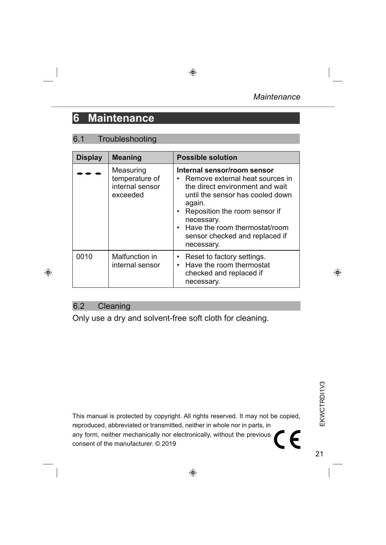### **6 Maintenance**

#### 6.1 Troubleshooting

| <b>Display</b> | <b>Meaning</b>                                             | <b>Possible solution</b>                                                                                                                                                                                                                                                              |
|----------------|------------------------------------------------------------|---------------------------------------------------------------------------------------------------------------------------------------------------------------------------------------------------------------------------------------------------------------------------------------|
|                | Measuring<br>temperature of<br>internal sensor<br>exceeded | Internal sensor/room sensor<br>• Remove external heat sources in<br>the direct environment and wait<br>until the sensor has cooled down<br>again.<br>• Reposition the room sensor if<br>necessary.<br>• Have the room thermostat/room<br>sensor checked and replaced if<br>necessary. |
| 0010           | Malfunction in<br>internal sensor                          | Reset to factory settings.<br>• Have the room thermostat<br>checked and replaced if<br>necessary.                                                                                                                                                                                     |

#### 6.2 Cleaning

Only use a dry and solvent-free soft cloth for cleaning.

This manual is protected by copyright. All rights reserved. It may not be copied, reproduced, abbreviated or transmitted, neither in whole nor in parts, in any form, neither mechanically nor electronically, without the previous  $\epsilon$ consent of the manufacturer. © 2019